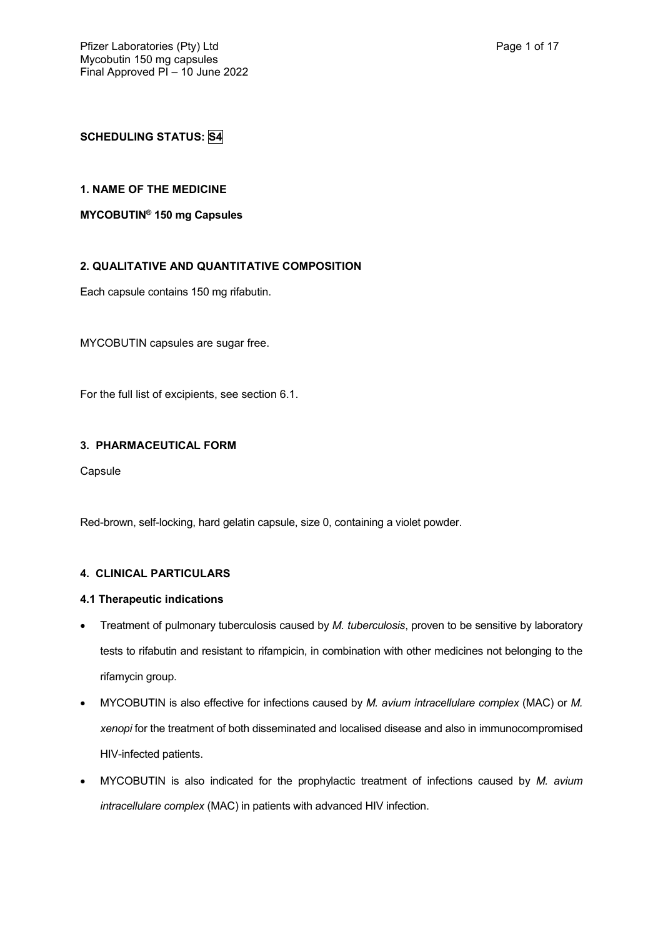# **SCHEDULING STATUS: S4**

### **1. NAME OF THE MEDICINE**

### **MYCOBUTIN® 150 mg Capsules**

### **2. QUALITATIVE AND QUANTITATIVE COMPOSITION**

Each capsule contains 150 mg rifabutin.

MYCOBUTIN capsules are sugar free.

For the full list of excipients, see section 6.1.

### **3. PHARMACEUTICAL FORM**

Capsule

Red-brown, self-locking, hard gelatin capsule, size 0, containing a violet powder.

### **4. CLINICAL PARTICULARS**

#### **4.1 Therapeutic indications**

- Treatment of pulmonary tuberculosis caused by *M. tuberculosis*, proven to be sensitive by laboratory tests to rifabutin and resistant to rifampicin, in combination with other medicines not belonging to the rifamycin group.
- MYCOBUTIN is also effective for infections caused by *M. avium intracellulare complex* (MAC) or *M. xenopi* for the treatment of both disseminated and localised disease and also in immunocompromised HIV-infected patients.
- MYCOBUTIN is also indicated for the prophylactic treatment of infections caused by *M. avium intracellulare complex* (MAC) in patients with advanced HIV infection.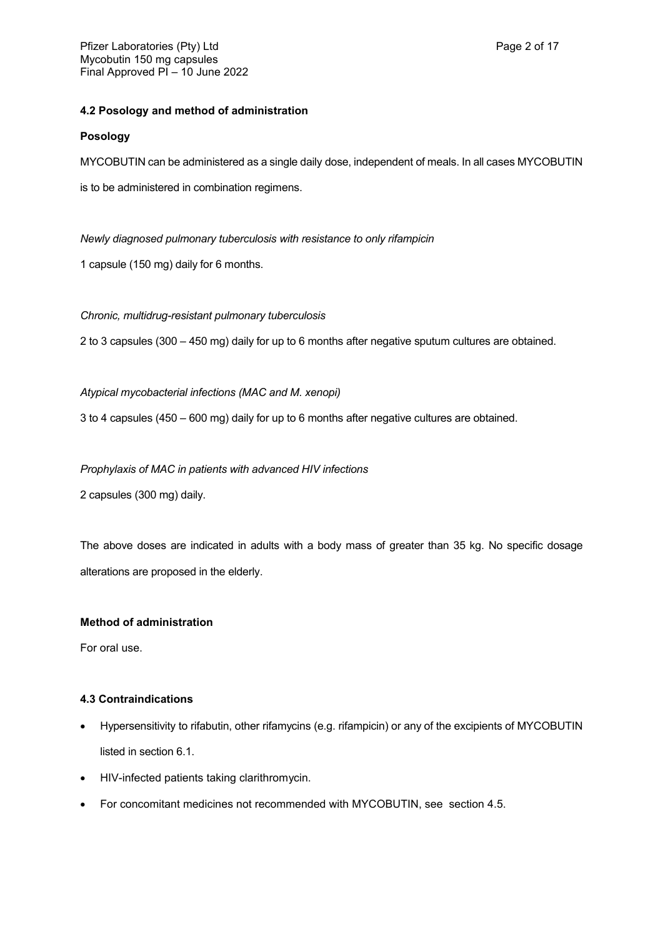### **4.2 Posology and method of administration**

#### **Posology**

MYCOBUTIN can be administered as a single daily dose, independent of meals. In all cases MYCOBUTIN

is to be administered in combination regimens.

*Newly diagnosed pulmonary tuberculosis with resistance to only rifampicin*

1 capsule (150 mg) daily for 6 months.

#### *Chronic, multidrug-resistant pulmonary tuberculosis*

2 to 3 capsules (300 – 450 mg) daily for up to 6 months after negative sputum cultures are obtained.

#### *Atypical mycobacterial infections (MAC and M. xenopi)*

3 to 4 capsules (450 – 600 mg) daily for up to 6 months after negative cultures are obtained.

#### *Prophylaxis of MAC in patients with advanced HIV infections*

2 capsules (300 mg) daily.

The above doses are indicated in adults with a body mass of greater than 35 kg. No specific dosage alterations are proposed in the elderly.

### **Method of administration**

For oral use.

### **4.3 Contraindications**

- Hypersensitivity to rifabutin, other rifamycins (e.g. rifampicin) or any of the excipients of MYCOBUTIN listed in section 6.1.
- HIV-infected patients taking clarithromycin.
- For concomitant medicines not recommended with MYCOBUTIN, see section 4.5.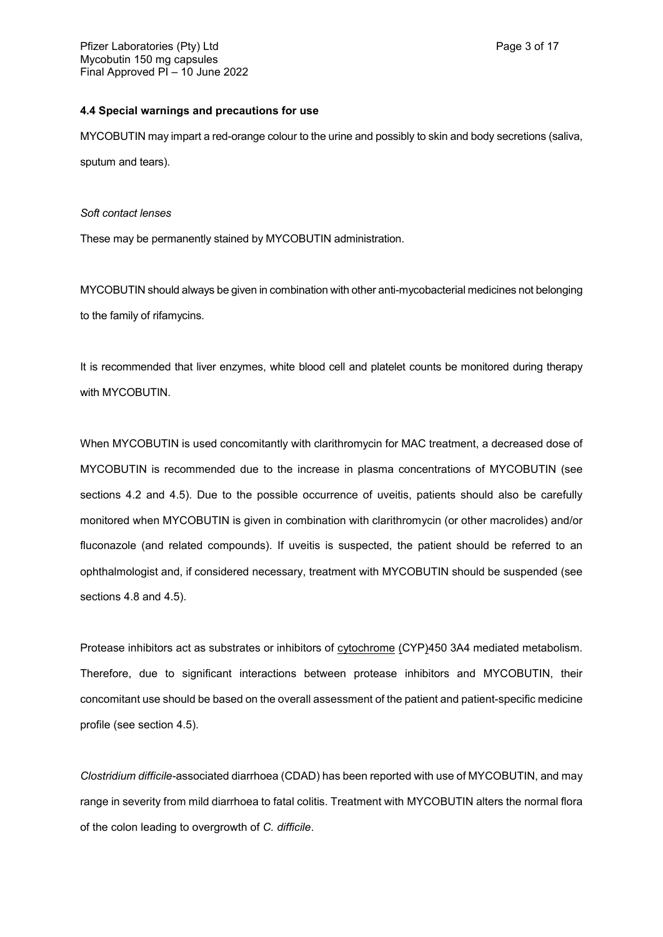#### **4.4 Special warnings and precautions for use**

MYCOBUTIN may impart a red-orange colour to the urine and possibly to skin and body secretions (saliva, sputum and tears).

#### *Soft contact lenses*

These may be permanently stained by MYCOBUTIN administration.

MYCOBUTIN should always be given in combination with other anti-mycobacterial medicines not belonging to the family of rifamycins.

It is recommended that liver enzymes, white blood cell and platelet counts be monitored during therapy with MYCOBUTIN.

When MYCOBUTIN is used concomitantly with clarithromycin for MAC treatment, a decreased dose of MYCOBUTIN is recommended due to the increase in plasma concentrations of MYCOBUTIN (see sections 4.2 and 4.5). Due to the possible occurrence of uveitis, patients should also be carefully monitored when MYCOBUTIN is given in combination with clarithromycin (or other macrolides) and/or fluconazole (and related compounds). If uveitis is suspected, the patient should be referred to an ophthalmologist and, if considered necessary, treatment with MYCOBUTIN should be suspended (see sections 4.8 and 4.5).

Protease inhibitors act as substrates or inhibitors of cytochrome (CYP)450 3A4 mediated metabolism. Therefore, due to significant interactions between protease inhibitors and MYCOBUTIN, their concomitant use should be based on the overall assessment of the patient and patient-specific medicine profile (see section 4.5).

*Clostridium difficile-*associated diarrhoea (CDAD) has been reported with use of MYCOBUTIN, and may range in severity from mild diarrhoea to fatal colitis. Treatment with MYCOBUTIN alters the normal flora of the colon leading to overgrowth of *C. difficile*.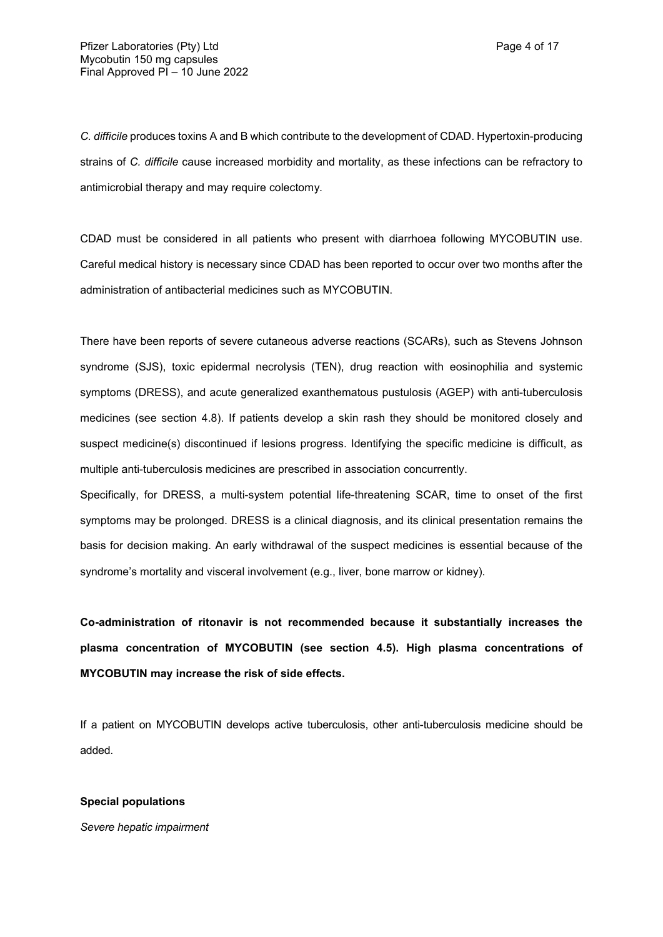*C. difficile* produces toxins A and B which contribute to the development of CDAD. Hypertoxin-producing strains of *C. difficile* cause increased morbidity and mortality, as these infections can be refractory to antimicrobial therapy and may require colectomy.

CDAD must be considered in all patients who present with diarrhoea following MYCOBUTIN use. Careful medical history is necessary since CDAD has been reported to occur over two months after the administration of antibacterial medicines such as MYCOBUTIN.

There have been reports of severe cutaneous adverse reactions (SCARs), such as Stevens Johnson syndrome (SJS), toxic epidermal necrolysis (TEN), drug reaction with eosinophilia and systemic symptoms (DRESS), and acute generalized exanthematous pustulosis (AGEP) with anti-tuberculosis medicines (see section 4.8). If patients develop a skin rash they should be monitored closely and suspect medicine(s) discontinued if lesions progress. Identifying the specific medicine is difficult, as multiple anti-tuberculosis medicines are prescribed in association concurrently.

Specifically, for DRESS, a multi-system potential life-threatening SCAR, time to onset of the first symptoms may be prolonged. DRESS is a clinical diagnosis, and its clinical presentation remains the basis for decision making. An early withdrawal of the suspect medicines is essential because of the syndrome's mortality and visceral involvement (e.g., liver, bone marrow or kidney).

**Co-administration of ritonavir is not recommended because it substantially increases the plasma concentration of MYCOBUTIN (see section 4.5). High plasma concentrations of MYCOBUTIN may increase the risk of side effects.**

If a patient on MYCOBUTIN develops active tuberculosis, other anti-tuberculosis medicine should be added.

#### **Special populations**

*Severe hepatic impairment*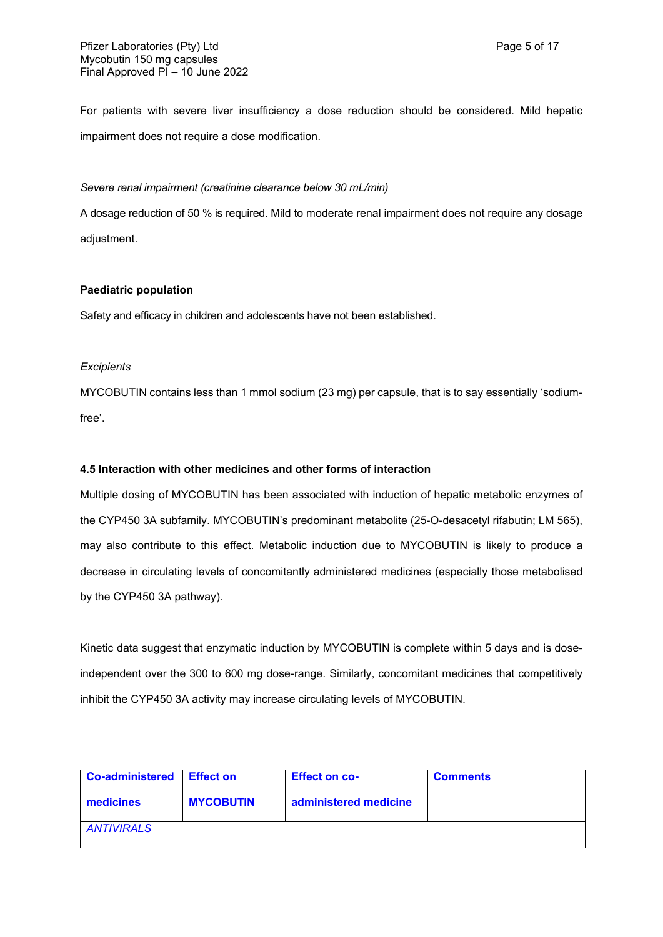For patients with severe liver insufficiency a dose reduction should be considered. Mild hepatic impairment does not require a dose modification.

#### *Severe renal impairment (creatinine clearance below 30 mL/min)*

A dosage reduction of 50 % is required. Mild to moderate renal impairment does not require any dosage adjustment.

#### **Paediatric population**

Safety and efficacy in children and adolescents have not been established.

#### *Excipients*

MYCOBUTIN contains less than 1 mmol sodium (23 mg) per capsule, that is to say essentially 'sodiumfree'.

### **4.5 Interaction with other medicines and other forms of interaction**

Multiple dosing of MYCOBUTIN has been associated with induction of hepatic metabolic enzymes of the CYP450 3A subfamily. MYCOBUTIN's predominant metabolite (25-O-desacetyl rifabutin; LM 565), may also contribute to this effect. Metabolic induction due to MYCOBUTIN is likely to produce a decrease in circulating levels of concomitantly administered medicines (especially those metabolised by the CYP450 3A pathway).

Kinetic data suggest that enzymatic induction by MYCOBUTIN is complete within 5 days and is doseindependent over the 300 to 600 mg dose-range. Similarly, concomitant medicines that competitively inhibit the CYP450 3A activity may increase circulating levels of MYCOBUTIN.

| <b>Co-administered</b> | <b>Effect on</b> | <b>Effect on co-</b>  | <b>Comments</b> |
|------------------------|------------------|-----------------------|-----------------|
| medicines              | <b>MYCOBUTIN</b> | administered medicine |                 |
| <b>ANTIVIRALS</b>      |                  |                       |                 |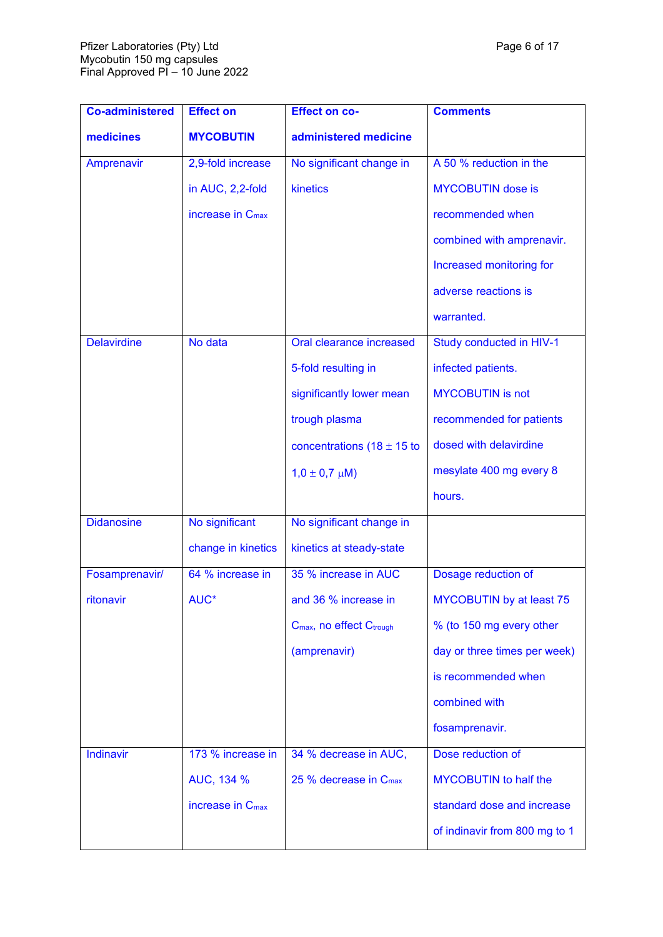| <b>Co-administered</b> | <b>Effect on</b>             | <b>Effect on co-</b>                             | <b>Comments</b>                 |
|------------------------|------------------------------|--------------------------------------------------|---------------------------------|
| medicines              | <b>MYCOBUTIN</b>             | administered medicine                            |                                 |
| Amprenavir             | 2,9-fold increase            | No significant change in                         | A 50 % reduction in the         |
|                        | in AUC, 2,2-fold             | kinetics                                         | <b>MYCOBUTIN</b> dose is        |
|                        | increase in C <sub>max</sub> |                                                  | recommended when                |
|                        |                              |                                                  | combined with amprenavir.       |
|                        |                              |                                                  | Increased monitoring for        |
|                        |                              |                                                  | adverse reactions is            |
|                        |                              |                                                  | warranted.                      |
| <b>Delavirdine</b>     | No data                      | Oral clearance increased                         | Study conducted in HIV-1        |
|                        |                              | 5-fold resulting in                              | infected patients.              |
|                        |                              | significantly lower mean                         | <b>MYCOBUTIN</b> is not         |
|                        |                              | trough plasma                                    | recommended for patients        |
|                        |                              | concentrations (18 $\pm$ 15 to                   | dosed with delavirdine          |
|                        |                              | $1,0 \pm 0,7 \mu M$ )                            | mesylate 400 mg every 8         |
|                        |                              |                                                  | hours.                          |
| <b>Didanosine</b>      | No significant               | No significant change in                         |                                 |
|                        | change in kinetics           | kinetics at steady-state                         |                                 |
| Fosamprenavir/         | 64 % increase in             | 35 % increase in AUC                             | Dosage reduction of             |
| ritonavir              | AUC*                         | and 36 % increase in                             | <b>MYCOBUTIN</b> by at least 75 |
|                        |                              | C <sub>max</sub> , no effect C <sub>trough</sub> | % (to 150 mg every other        |
|                        |                              | (amprenavir)                                     | day or three times per week)    |
|                        |                              |                                                  | is recommended when             |
|                        |                              |                                                  | combined with                   |
|                        |                              |                                                  | fosamprenavir.                  |
| Indinavir              | 173 % increase in            | 34 % decrease in AUC,                            | Dose reduction of               |
|                        | AUC, 134 %                   | 25 % decrease in C <sub>max</sub>                | <b>MYCOBUTIN</b> to half the    |
|                        | increase in $C_{\text{max}}$ |                                                  | standard dose and increase      |
|                        |                              |                                                  | of indinavir from 800 mg to 1   |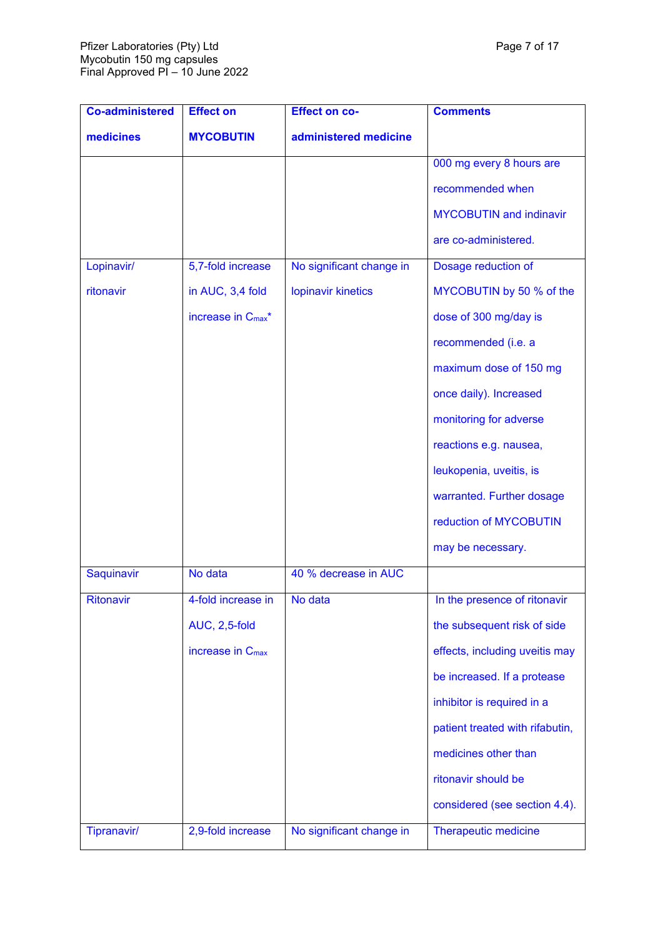| <b>Co-administered</b> | <b>Effect on</b>               | <b>Effect on co-</b>     | <b>Comments</b>                 |
|------------------------|--------------------------------|--------------------------|---------------------------------|
| medicines              | <b>MYCOBUTIN</b>               | administered medicine    |                                 |
|                        |                                |                          | 000 mg every 8 hours are        |
|                        |                                |                          | recommended when                |
|                        |                                |                          | <b>MYCOBUTIN</b> and indinavir  |
|                        |                                |                          | are co-administered.            |
| Lopinavir/             | 5,7-fold increase              | No significant change in | Dosage reduction of             |
| ritonavir              | in AUC, 3,4 fold               | lopinavir kinetics       | MYCOBUTIN by 50 % of the        |
|                        | increase in C <sub>max</sub> * |                          | dose of 300 mg/day is           |
|                        |                                |                          | recommended (i.e. a             |
|                        |                                |                          | maximum dose of 150 mg          |
|                        |                                |                          | once daily). Increased          |
|                        |                                |                          | monitoring for adverse          |
|                        |                                |                          | reactions e.g. nausea,          |
|                        |                                |                          | leukopenia, uveitis, is         |
|                        |                                |                          | warranted. Further dosage       |
|                        |                                |                          | reduction of MYCOBUTIN          |
|                        |                                |                          | may be necessary.               |
| Saquinavir             | No data                        | 40 % decrease in AUC     |                                 |
| Ritonavir              | 4-fold increase in             | No data                  | In the presence of ritonavir    |
|                        | <b>AUC, 2,5-fold</b>           |                          | the subsequent risk of side     |
|                        | increase in C <sub>max</sub>   |                          | effects, including uveitis may  |
|                        |                                |                          | be increased. If a protease     |
|                        |                                |                          | inhibitor is required in a      |
|                        |                                |                          | patient treated with rifabutin, |
|                        |                                |                          | medicines other than            |
|                        |                                |                          | ritonavir should be             |
|                        |                                |                          | considered (see section 4.4).   |
| Tipranavir/            | 2,9-fold increase              | No significant change in | <b>Therapeutic medicine</b>     |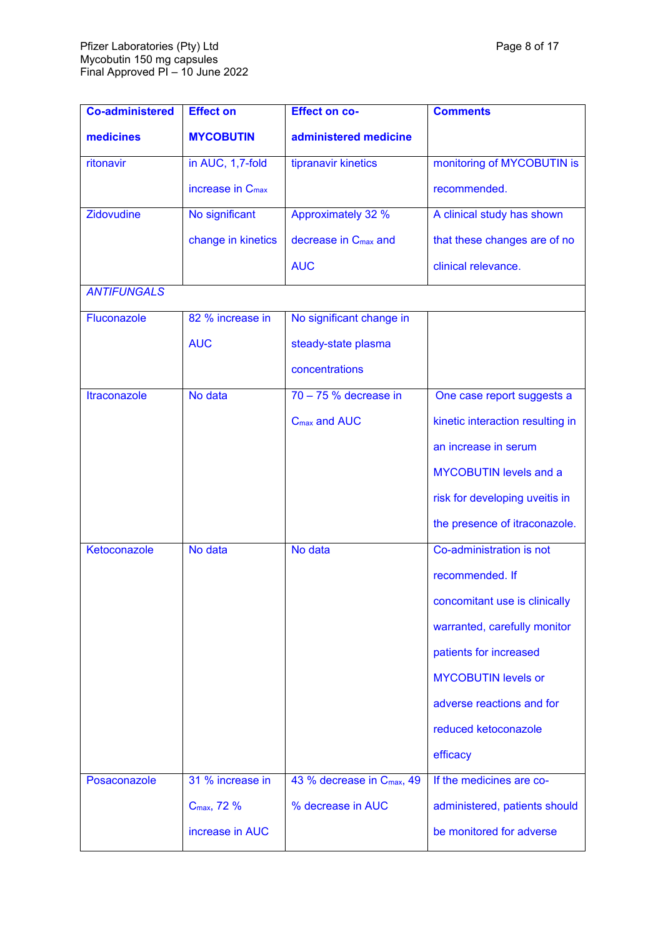| <b>Co-administered</b> | <b>Effect on</b>             | <b>Effect on co-</b>                   | <b>Comments</b>                  |
|------------------------|------------------------------|----------------------------------------|----------------------------------|
| medicines              | <b>MYCOBUTIN</b>             | administered medicine                  |                                  |
| ritonavir              | in AUC, 1,7-fold             | tipranavir kinetics                    | monitoring of MYCOBUTIN is       |
|                        | increase in C <sub>max</sub> |                                        | recommended.                     |
| Zidovudine             | No significant               | <b>Approximately 32 %</b>              | A clinical study has shown       |
|                        | change in kinetics           | decrease in C <sub>max</sub> and       | that these changes are of no     |
|                        |                              | <b>AUC</b>                             | clinical relevance.              |
| <b>ANTIFUNGALS</b>     |                              |                                        |                                  |
| Fluconazole            | 82 % increase in             | No significant change in               |                                  |
|                        | <b>AUC</b>                   | steady-state plasma                    |                                  |
|                        |                              | concentrations                         |                                  |
| <b>Itraconazole</b>    | No data                      | $70 - 75$ % decrease in                | One case report suggests a       |
|                        |                              | C <sub>max</sub> and AUC               | kinetic interaction resulting in |
|                        |                              |                                        | an increase in serum             |
|                        |                              |                                        | <b>MYCOBUTIN levels and a</b>    |
|                        |                              |                                        | risk for developing uveitis in   |
|                        |                              |                                        | the presence of itraconazole.    |
| Ketoconazole           | No data                      | No data                                | Co-administration is not         |
|                        |                              |                                        | recommended. If                  |
|                        |                              |                                        | concomitant use is clinically    |
|                        |                              |                                        | warranted, carefully monitor     |
|                        |                              |                                        | patients for increased           |
|                        |                              |                                        | <b>MYCOBUTIN levels or</b>       |
|                        |                              |                                        | adverse reactions and for        |
|                        |                              |                                        | reduced ketoconazole             |
|                        |                              |                                        | efficacy                         |
| Posaconazole           | 31 % increase in             | 43 % decrease in C <sub>max</sub> , 49 | If the medicines are co-         |
|                        | C <sub>max</sub> , 72 %      | % decrease in AUC                      | administered, patients should    |
|                        | increase in AUC              |                                        | be monitored for adverse         |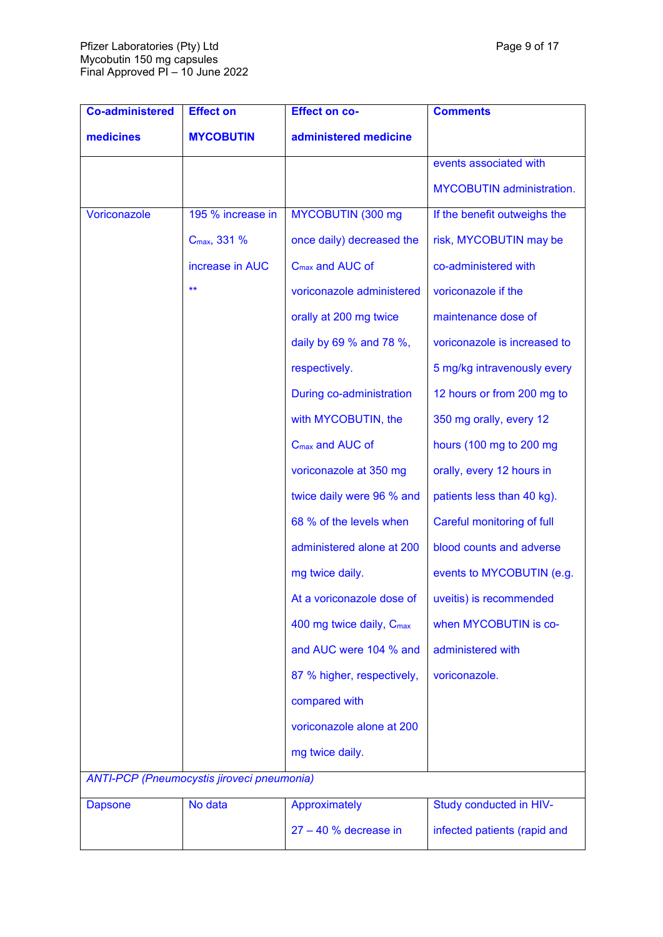| Page 9 of 17 |  |  |
|--------------|--|--|
|--------------|--|--|

| <b>Co-administered</b> | <b>Effect on</b>                                  | <b>Effect on co-</b>                 | <b>Comments</b>                  |
|------------------------|---------------------------------------------------|--------------------------------------|----------------------------------|
| medicines              | <b>MYCOBUTIN</b>                                  | administered medicine                |                                  |
|                        |                                                   |                                      | events associated with           |
|                        |                                                   |                                      | <b>MYCOBUTIN</b> administration. |
| Voriconazole           | 195 % increase in                                 | MYCOBUTIN (300 mg                    | If the benefit outweighs the     |
|                        | C <sub>max</sub> , 331 %                          | once daily) decreased the            | risk, MYCOBUTIN may be           |
|                        | increase in AUC                                   | C <sub>max</sub> and AUC of          | co-administered with             |
|                        | $***$                                             | voriconazole administered            | voriconazole if the              |
|                        |                                                   | orally at 200 mg twice               | maintenance dose of              |
|                        |                                                   | daily by 69 % and 78 %,              | voriconazole is increased to     |
|                        |                                                   | respectively.                        | 5 mg/kg intravenously every      |
|                        |                                                   | During co-administration             | 12 hours or from 200 mg to       |
|                        |                                                   | with MYCOBUTIN, the                  | 350 mg orally, every 12          |
|                        |                                                   | C <sub>max</sub> and AUC of          | hours (100 mg to 200 mg          |
|                        |                                                   | voriconazole at 350 mg               | orally, every 12 hours in        |
|                        |                                                   | twice daily were 96 % and            | patients less than 40 kg).       |
|                        |                                                   | 68 % of the levels when              | Careful monitoring of full       |
|                        |                                                   | administered alone at 200            | blood counts and adverse         |
|                        |                                                   | mg twice daily.                      | events to MYCOBUTIN (e.g.        |
|                        |                                                   | At a voriconazole dose of            | uveitis) is recommended          |
|                        |                                                   | 400 mg twice daily, C <sub>max</sub> | when MYCOBUTIN is co-            |
|                        |                                                   | and AUC were 104 % and               | administered with                |
|                        |                                                   | 87 % higher, respectively,           | voriconazole.                    |
|                        |                                                   | compared with                        |                                  |
|                        |                                                   | voriconazole alone at 200            |                                  |
|                        |                                                   | mg twice daily.                      |                                  |
|                        | <b>ANTI-PCP</b> (Pneumocystis jiroveci pneumonia) |                                      |                                  |
| <b>Dapsone</b>         | No data                                           | Approximately                        | Study conducted in HIV-          |
|                        |                                                   | $27 - 40$ % decrease in              | infected patients (rapid and     |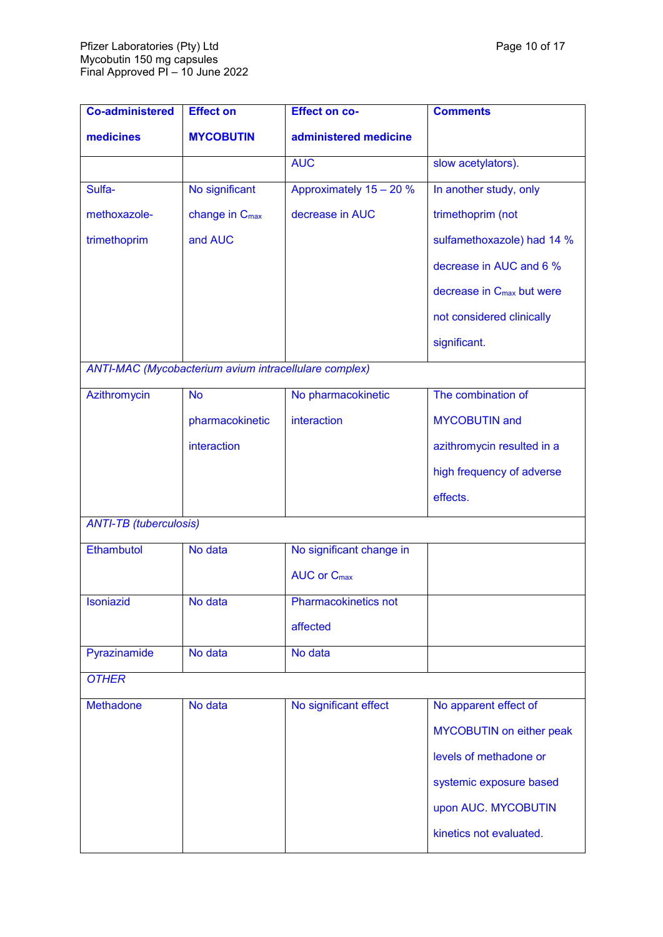| <b>Co-administered</b>        | <b>Effect on</b>                                             | <b>Effect on co-</b>          | <b>Comments</b>                       |
|-------------------------------|--------------------------------------------------------------|-------------------------------|---------------------------------------|
| medicines                     | <b>MYCOBUTIN</b>                                             | administered medicine         |                                       |
|                               |                                                              | <b>AUC</b>                    | slow acetylators).                    |
| Sulfa-                        | No significant                                               | Approximately 15 - 20 %       | In another study, only                |
| methoxazole-                  | change in C <sub>max</sub>                                   | decrease in AUC               | trimethoprim (not                     |
| trimethoprim                  | and AUC                                                      |                               | sulfamethoxazole) had 14 %            |
|                               |                                                              |                               | decrease in AUC and 6 %               |
|                               |                                                              |                               | decrease in C <sub>max</sub> but were |
|                               |                                                              |                               | not considered clinically             |
|                               |                                                              |                               | significant.                          |
|                               | <b>ANTI-MAC (Mycobacterium avium intracellulare complex)</b> |                               |                                       |
| Azithromycin                  | <b>No</b>                                                    | No pharmacokinetic            | The combination of                    |
|                               | pharmacokinetic                                              | interaction                   | <b>MYCOBUTIN</b> and                  |
|                               | interaction                                                  |                               | azithromycin resulted in a            |
|                               |                                                              |                               | high frequency of adverse             |
|                               |                                                              |                               | effects.                              |
| <b>ANTI-TB (tuberculosis)</b> |                                                              |                               |                                       |
| Ethambutol                    | No data                                                      | No significant change in      |                                       |
|                               |                                                              | <b>AUC or C<sub>max</sub></b> |                                       |
| Isoniazid                     | No data                                                      | Pharmacokinetics not          |                                       |
|                               |                                                              | affected                      |                                       |
| Pyrazinamide                  | No data                                                      | No data                       |                                       |
| <b>OTHER</b>                  |                                                              |                               |                                       |
| <b>Methadone</b>              | No data                                                      | No significant effect         | No apparent effect of                 |
|                               |                                                              |                               | <b>MYCOBUTIN on either peak</b>       |
|                               |                                                              |                               | levels of methadone or                |
|                               |                                                              |                               | systemic exposure based               |
|                               |                                                              |                               | upon AUC. MYCOBUTIN                   |
|                               |                                                              |                               | kinetics not evaluated.               |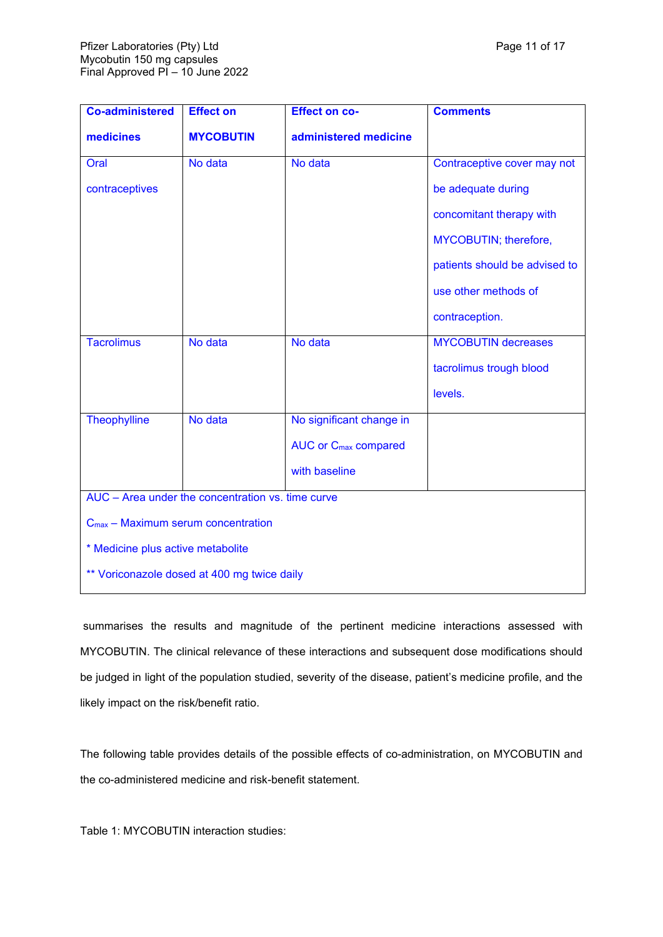| <b>Co-administered</b>                            | <b>Effect on</b>                               | <b>Effect on co-</b>                   | <b>Comments</b>               |  |  |
|---------------------------------------------------|------------------------------------------------|----------------------------------------|-------------------------------|--|--|
| medicines                                         | <b>MYCOBUTIN</b>                               | administered medicine                  |                               |  |  |
| Oral                                              | No data                                        | No data                                | Contraceptive cover may not   |  |  |
| contraceptives                                    |                                                |                                        | be adequate during            |  |  |
|                                                   |                                                |                                        | concomitant therapy with      |  |  |
|                                                   |                                                |                                        | MYCOBUTIN; therefore,         |  |  |
|                                                   |                                                |                                        | patients should be advised to |  |  |
|                                                   |                                                |                                        | use other methods of          |  |  |
|                                                   |                                                |                                        | contraception.                |  |  |
| <b>Tacrolimus</b>                                 | No data                                        | No data                                | <b>MYCOBUTIN decreases</b>    |  |  |
|                                                   |                                                |                                        | tacrolimus trough blood       |  |  |
|                                                   |                                                |                                        | levels.                       |  |  |
| <b>Theophylline</b>                               | No data                                        | No significant change in               |                               |  |  |
|                                                   |                                                | <b>AUC or C<sub>max</sub> compared</b> |                               |  |  |
|                                                   |                                                | with baseline                          |                               |  |  |
| AUC - Area under the concentration vs. time curve |                                                |                                        |                               |  |  |
|                                                   | $C_{\text{max}}$ – Maximum serum concentration |                                        |                               |  |  |
| * Medicine plus active metabolite                 |                                                |                                        |                               |  |  |
| ** Voriconazole dosed at 400 mg twice daily       |                                                |                                        |                               |  |  |

summarises the results and magnitude of the pertinent medicine interactions assessed with MYCOBUTIN. The clinical relevance of these interactions and subsequent dose modifications should be judged in light of the population studied, severity of the disease, patient's medicine profile, and the likely impact on the risk/benefit ratio.

The following table provides details of the possible effects of co-administration, on MYCOBUTIN and the co-administered medicine and risk-benefit statement.

Table 1: MYCOBUTIN interaction studies: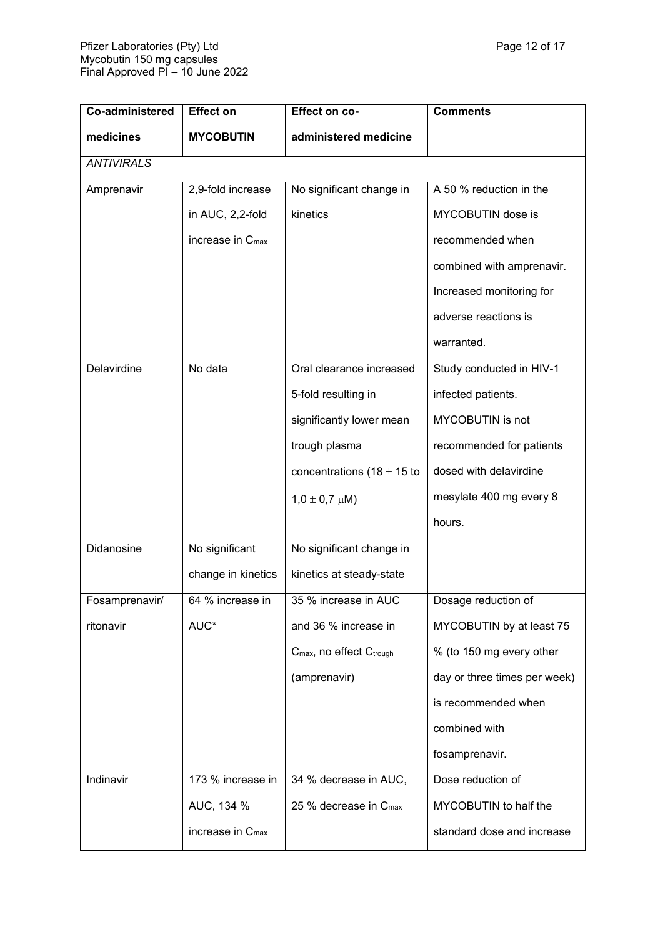<span id="page-11-0"></span>

| Co-administered   | <b>Effect on</b>             | Effect on co-                        | <b>Comments</b>              |
|-------------------|------------------------------|--------------------------------------|------------------------------|
| medicines         | <b>MYCOBUTIN</b>             | administered medicine                |                              |
| <b>ANTIVIRALS</b> |                              |                                      |                              |
| Amprenavir        | 2,9-fold increase            | No significant change in             | A 50 % reduction in the      |
|                   | in AUC, 2,2-fold             | kinetics                             | MYCOBUTIN dose is            |
|                   | increase in $C_{\text{max}}$ |                                      | recommended when             |
|                   |                              |                                      | combined with amprenavir.    |
|                   |                              |                                      | Increased monitoring for     |
|                   |                              |                                      | adverse reactions is         |
|                   |                              |                                      | warranted.                   |
| Delavirdine       | No data                      | Oral clearance increased             | Study conducted in HIV-1     |
|                   |                              | 5-fold resulting in                  | infected patients.           |
|                   |                              | significantly lower mean             | MYCOBUTIN is not             |
|                   |                              | trough plasma                        | recommended for patients     |
|                   |                              | concentrations (18 $\pm$ 15 to       | dosed with delavirdine       |
|                   |                              | $1,0 \pm 0,7 \mu M$ )                | mesylate 400 mg every 8      |
|                   |                              |                                      | hours.                       |
| Didanosine        | No significant               | No significant change in             |                              |
|                   | change in kinetics           | kinetics at steady-state             |                              |
| Fosamprenavir/    | 64 % increase in             | 35 % increase in AUC                 | Dosage reduction of          |
| ritonavir         | AUC*                         | and 36 % increase in                 | MYCOBUTIN by at least 75     |
|                   |                              | C <sub>max</sub> , no effect Ctrough | % (to 150 mg every other     |
|                   |                              | (amprenavir)                         | day or three times per week) |
|                   |                              |                                      | is recommended when          |
|                   |                              |                                      | combined with                |
|                   |                              |                                      | fosamprenavir.               |
| Indinavir         | 173 % increase in            | 34 % decrease in AUC,                | Dose reduction of            |
|                   | AUC, 134 %                   | 25 % decrease in C <sub>max</sub>    | MYCOBUTIN to half the        |
|                   | increase in $C_{\text{max}}$ |                                      | standard dose and increase   |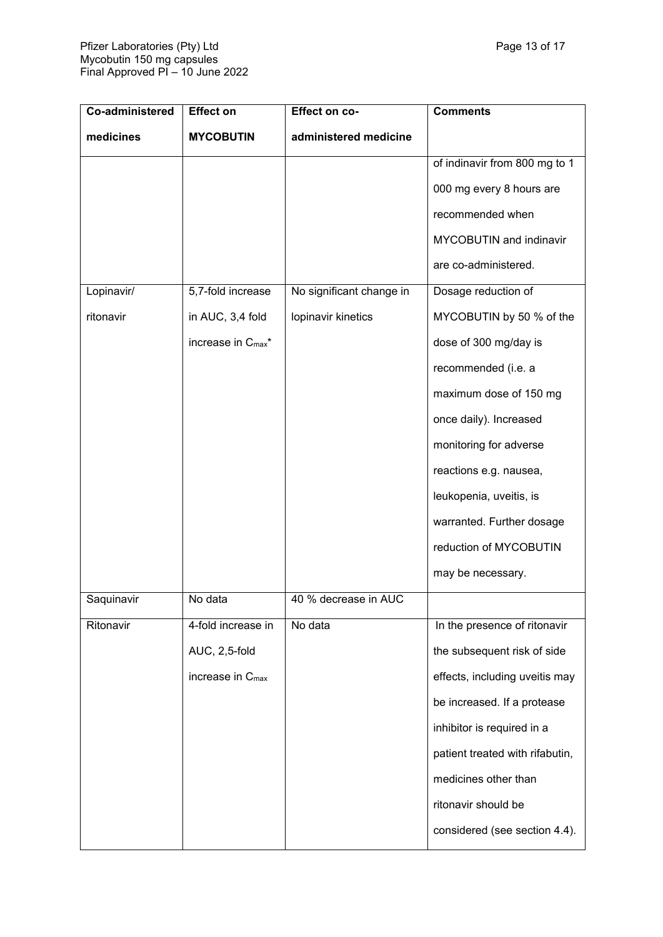| Co-administered | <b>Effect on</b>               | Effect on co-            | <b>Comments</b>                 |
|-----------------|--------------------------------|--------------------------|---------------------------------|
| medicines       | <b>MYCOBUTIN</b>               | administered medicine    |                                 |
|                 |                                |                          | of indinavir from 800 mg to 1   |
|                 |                                |                          | 000 mg every 8 hours are        |
|                 |                                |                          | recommended when                |
|                 |                                |                          | MYCOBUTIN and indinavir         |
|                 |                                |                          | are co-administered.            |
| Lopinavir/      | 5,7-fold increase              | No significant change in | Dosage reduction of             |
| ritonavir       | in AUC, 3,4 fold               | lopinavir kinetics       | MYCOBUTIN by 50 % of the        |
|                 | increase in C <sub>max</sub> * |                          | dose of 300 mg/day is           |
|                 |                                |                          | recommended (i.e. a             |
|                 |                                |                          | maximum dose of 150 mg          |
|                 |                                |                          | once daily). Increased          |
|                 |                                |                          | monitoring for adverse          |
|                 |                                |                          | reactions e.g. nausea,          |
|                 |                                |                          | leukopenia, uveitis, is         |
|                 |                                |                          | warranted. Further dosage       |
|                 |                                |                          | reduction of MYCOBUTIN          |
|                 |                                |                          | may be necessary.               |
| Saquinavir      | No data                        | 40 % decrease in AUC     |                                 |
| Ritonavir       | 4-fold increase in             | No data                  | In the presence of ritonavir    |
|                 | AUC, 2,5-fold                  |                          | the subsequent risk of side     |
|                 | increase in C <sub>max</sub>   |                          | effects, including uveitis may  |
|                 |                                |                          | be increased. If a protease     |
|                 |                                |                          | inhibitor is required in a      |
|                 |                                |                          | patient treated with rifabutin, |
|                 |                                |                          | medicines other than            |
|                 |                                |                          | ritonavir should be             |
|                 |                                |                          | considered (see section 4.4).   |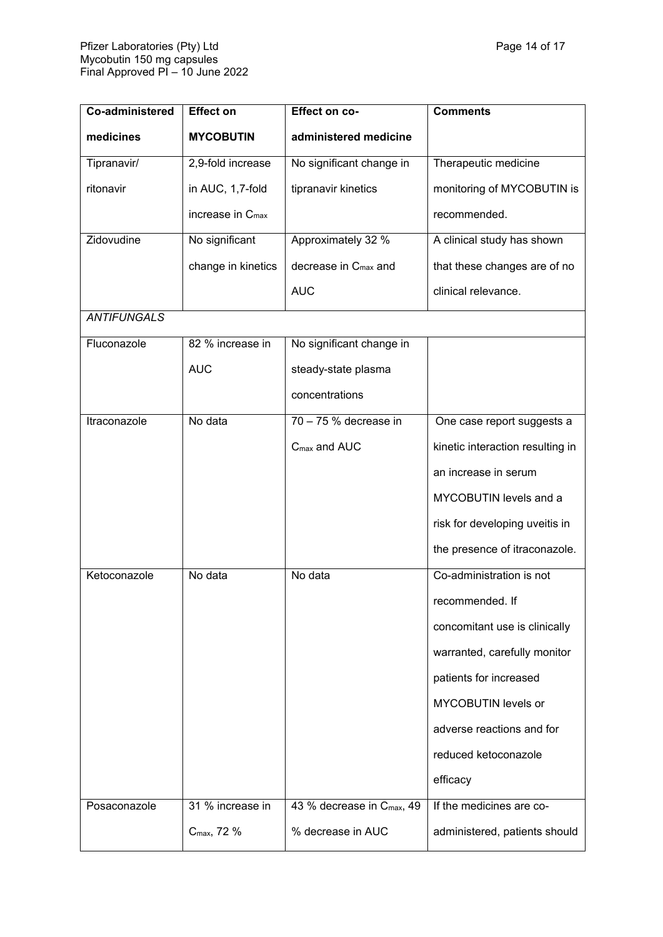| Co-administered    | <b>Effect on</b>             | Effect on co-                          | <b>Comments</b>                  |
|--------------------|------------------------------|----------------------------------------|----------------------------------|
| medicines          | <b>MYCOBUTIN</b>             | administered medicine                  |                                  |
| Tipranavir/        | 2,9-fold increase            | No significant change in               | Therapeutic medicine             |
| ritonavir          | in AUC, 1,7-fold             | tipranavir kinetics                    | monitoring of MYCOBUTIN is       |
|                    | increase in C <sub>max</sub> |                                        | recommended.                     |
| Zidovudine         | No significant               | Approximately 32 %                     | A clinical study has shown       |
|                    | change in kinetics           | decrease in C <sub>max</sub> and       | that these changes are of no     |
|                    |                              | <b>AUC</b>                             | clinical relevance.              |
| <b>ANTIFUNGALS</b> |                              |                                        |                                  |
| Fluconazole        | 82 % increase in             | No significant change in               |                                  |
|                    | <b>AUC</b>                   | steady-state plasma                    |                                  |
|                    |                              | concentrations                         |                                  |
| Itraconazole       | No data                      | 70 - 75 % decrease in                  | One case report suggests a       |
|                    |                              | $C_{\text{max}}$ and AUC               | kinetic interaction resulting in |
|                    |                              |                                        | an increase in serum             |
|                    |                              |                                        | MYCOBUTIN levels and a           |
|                    |                              |                                        | risk for developing uveitis in   |
|                    |                              |                                        | the presence of itraconazole.    |
| Ketoconazole       | No data                      | No data                                | Co-administration is not         |
|                    |                              |                                        | recommended. If                  |
|                    |                              |                                        | concomitant use is clinically    |
|                    |                              |                                        | warranted, carefully monitor     |
|                    |                              |                                        | patients for increased           |
|                    |                              |                                        | MYCOBUTIN levels or              |
|                    |                              |                                        | adverse reactions and for        |
|                    |                              |                                        | reduced ketoconazole             |
|                    |                              |                                        | efficacy                         |
| Posaconazole       | 31 % increase in             | 43 % decrease in C <sub>max</sub> , 49 | If the medicines are co-         |
|                    | C <sub>max</sub> , 72 %      | % decrease in AUC                      | administered, patients should    |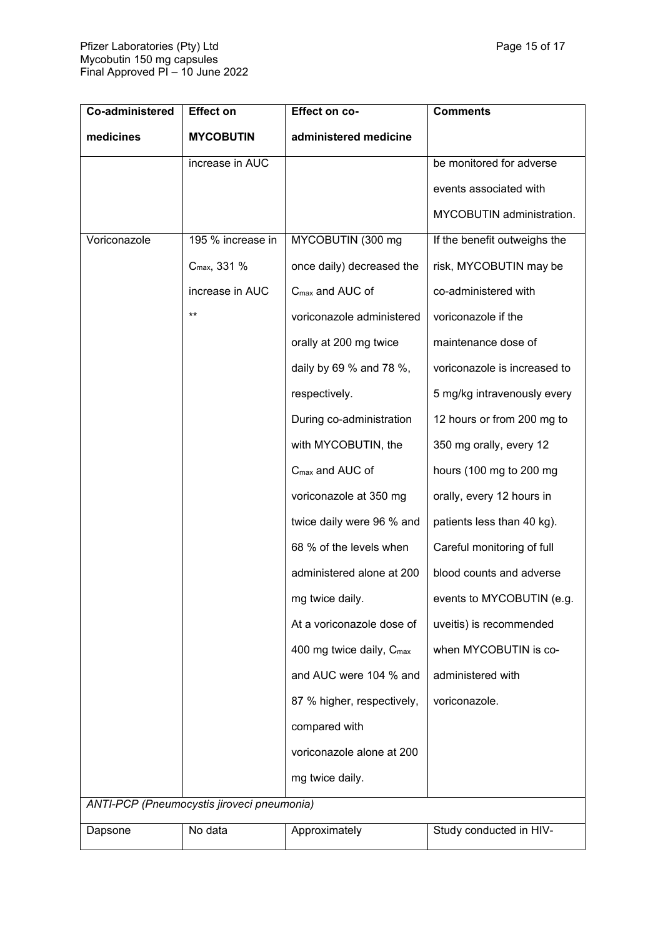| Co-administered | <b>Effect on</b>                           | <b>Effect on co-</b>                 | <b>Comments</b>              |
|-----------------|--------------------------------------------|--------------------------------------|------------------------------|
| medicines       | <b>MYCOBUTIN</b>                           | administered medicine                |                              |
|                 | increase in AUC                            |                                      | be monitored for adverse     |
|                 |                                            |                                      | events associated with       |
|                 |                                            |                                      | MYCOBUTIN administration.    |
| Voriconazole    | 195 % increase in                          | MYCOBUTIN (300 mg                    | If the benefit outweighs the |
|                 | C <sub>max</sub> , 331 %                   | once daily) decreased the            | risk, MYCOBUTIN may be       |
|                 | increase in AUC                            | C <sub>max</sub> and AUC of          | co-administered with         |
|                 | $***$                                      | voriconazole administered            | voriconazole if the          |
|                 |                                            | orally at 200 mg twice               | maintenance dose of          |
|                 |                                            | daily by 69 % and 78 %,              | voriconazole is increased to |
|                 |                                            | respectively.                        | 5 mg/kg intravenously every  |
|                 |                                            | During co-administration             | 12 hours or from 200 mg to   |
|                 |                                            | with MYCOBUTIN, the                  | 350 mg orally, every 12      |
|                 |                                            | C <sub>max</sub> and AUC of          | hours (100 mg to 200 mg      |
|                 |                                            | voriconazole at 350 mg               | orally, every 12 hours in    |
|                 |                                            | twice daily were 96 % and            | patients less than 40 kg).   |
|                 |                                            | 68 % of the levels when              | Careful monitoring of full   |
|                 |                                            | administered alone at 200            | blood counts and adverse     |
|                 |                                            | mg twice daily.                      | events to MYCOBUTIN (e.g.    |
|                 |                                            | At a voriconazole dose of            | uveitis) is recommended      |
|                 |                                            | 400 mg twice daily, C <sub>max</sub> | when MYCOBUTIN is co-        |
|                 |                                            | and AUC were 104 % and               | administered with            |
|                 |                                            | 87 % higher, respectively,           | voriconazole.                |
|                 |                                            | compared with                        |                              |
|                 |                                            | voriconazole alone at 200            |                              |
|                 |                                            | mg twice daily.                      |                              |
|                 | ANTI-PCP (Pneumocystis jiroveci pneumonia) |                                      |                              |
| Dapsone         | No data                                    | Approximately                        | Study conducted in HIV-      |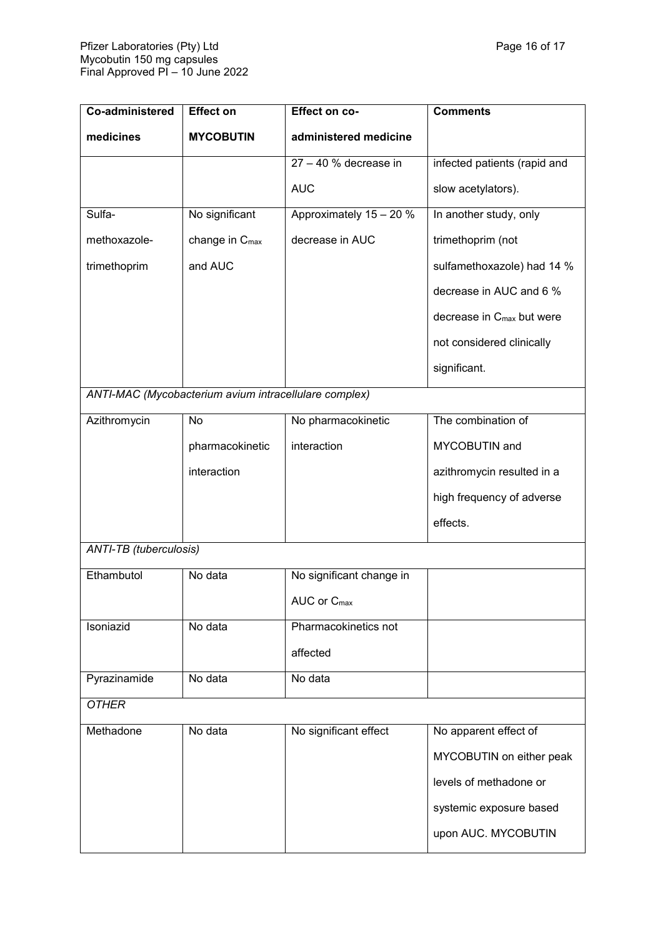| Co-administered               | <b>Effect on</b>                                      | Effect on co-            | <b>Comments</b>                       |  |
|-------------------------------|-------------------------------------------------------|--------------------------|---------------------------------------|--|
| medicines                     | <b>MYCOBUTIN</b>                                      | administered medicine    |                                       |  |
|                               |                                                       | $27 - 40 %$ decrease in  | infected patients (rapid and          |  |
|                               |                                                       | <b>AUC</b>               | slow acetylators).                    |  |
| Sulfa-                        | No significant                                        | Approximately 15 - 20 %  | In another study, only                |  |
| methoxazole-                  | change in C <sub>max</sub>                            | decrease in AUC          | trimethoprim (not                     |  |
| trimethoprim                  | and AUC                                               |                          | sulfamethoxazole) had 14 %            |  |
|                               |                                                       |                          | decrease in AUC and 6 %               |  |
|                               |                                                       |                          | decrease in C <sub>max</sub> but were |  |
|                               |                                                       |                          | not considered clinically             |  |
|                               |                                                       |                          | significant.                          |  |
|                               | ANTI-MAC (Mycobacterium avium intracellulare complex) |                          |                                       |  |
| Azithromycin                  | No                                                    | No pharmacokinetic       | The combination of                    |  |
|                               | pharmacokinetic                                       | interaction              | MYCOBUTIN and                         |  |
|                               | interaction                                           |                          | azithromycin resulted in a            |  |
|                               |                                                       |                          | high frequency of adverse             |  |
|                               |                                                       |                          | effects.                              |  |
| <b>ANTI-TB</b> (tuberculosis) |                                                       |                          |                                       |  |
| Ethambutol                    | No data                                               | No significant change in |                                       |  |
|                               |                                                       | AUC or C <sub>max</sub>  |                                       |  |
| Isoniazid                     | No data                                               | Pharmacokinetics not     |                                       |  |
|                               |                                                       | affected                 |                                       |  |
| Pyrazinamide                  | No data                                               | No data                  |                                       |  |
| <b>OTHER</b>                  |                                                       |                          |                                       |  |
| Methadone                     | No data                                               | No significant effect    | No apparent effect of                 |  |
|                               |                                                       |                          | MYCOBUTIN on either peak              |  |
|                               |                                                       |                          | levels of methadone or                |  |
|                               |                                                       |                          | systemic exposure based               |  |
|                               |                                                       |                          | upon AUC. MYCOBUTIN                   |  |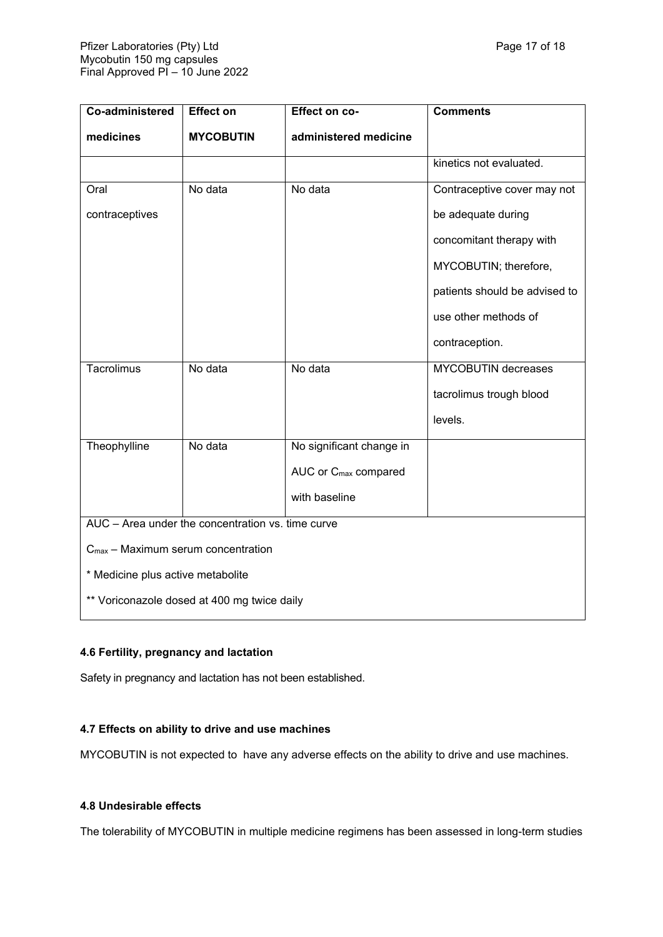| Co-administered                                   | <b>Effect on</b> | Effect on co-                    | <b>Comments</b>               |  |
|---------------------------------------------------|------------------|----------------------------------|-------------------------------|--|
| medicines                                         | <b>MYCOBUTIN</b> | administered medicine            |                               |  |
|                                                   |                  |                                  | kinetics not evaluated.       |  |
| Oral                                              | No data          | No data                          | Contraceptive cover may not   |  |
| contraceptives                                    |                  |                                  | be adequate during            |  |
|                                                   |                  |                                  | concomitant therapy with      |  |
|                                                   |                  |                                  | MYCOBUTIN; therefore,         |  |
|                                                   |                  |                                  | patients should be advised to |  |
|                                                   |                  |                                  | use other methods of          |  |
|                                                   |                  |                                  | contraception.                |  |
| Tacrolimus                                        | No data          | No data                          | <b>MYCOBUTIN</b> decreases    |  |
|                                                   |                  |                                  | tacrolimus trough blood       |  |
|                                                   |                  |                                  | levels.                       |  |
| Theophylline                                      | No data          | No significant change in         |                               |  |
|                                                   |                  | AUC or C <sub>max</sub> compared |                               |  |
|                                                   |                  | with baseline                    |                               |  |
| AUC - Area under the concentration vs. time curve |                  |                                  |                               |  |
| $C_{\text{max}}$ – Maximum serum concentration    |                  |                                  |                               |  |
| * Medicine plus active metabolite                 |                  |                                  |                               |  |
| ** Voriconazole dosed at 400 mg twice daily       |                  |                                  |                               |  |

# **4.6 Fertility, pregnancy and lactation**

Safety in pregnancy and lactation has not been established.

### **4.7 Effects on ability to drive and use machines**

MYCOBUTIN is not expected to have any adverse effects on the ability to drive and use machines.

### **4.8 Undesirable effects**

The tolerability of MYCOBUTIN in multiple medicine regimens has been assessed in long-term studies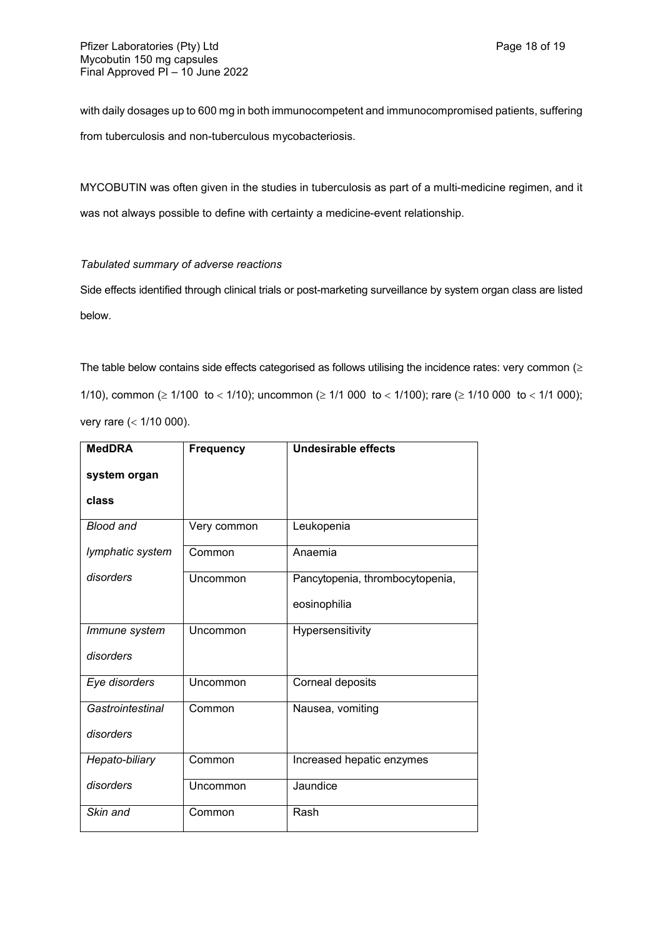with daily dosages up to 600 mg in both immunocompetent and immunocompromised patients, suffering from tuberculosis and non-tuberculous mycobacteriosis.

MYCOBUTIN was often given in the studies in tuberculosis as part of a multi-medicine regimen, and it was not always possible to define with certainty a medicine-event relationship.

### *Tabulated summary of adverse reactions*

Side effects identified through clinical trials or post-marketing surveillance by system organ class are listed below.

The table below contains side effects categorised as follows utilising the incidence rates: very common  $(\geq$ 1/10), common ( $\geq 1/100$  to < 1/10); uncommon ( $\geq 1/1$  000 to < 1/100); rare ( $\geq 1/10$  000 to < 1/1 000); very rare  $( $1/10000$ ).$ 

| <b>MedDRA</b>    | <b>Frequency</b> | <b>Undesirable effects</b>      |
|------------------|------------------|---------------------------------|
| system organ     |                  |                                 |
| class            |                  |                                 |
| <b>Blood and</b> | Very common      | Leukopenia                      |
| lymphatic system | Common           | Anaemia                         |
| disorders        | Uncommon         | Pancytopenia, thrombocytopenia, |
|                  |                  | eosinophilia                    |
| Immune system    | Uncommon         | Hypersensitivity                |
| disorders        |                  |                                 |
| Eye disorders    | Uncommon         | Corneal deposits                |
| Gastrointestinal | Common           | Nausea, vomiting                |
| disorders        |                  |                                 |
| Hepato-biliary   | Common           | Increased hepatic enzymes       |
| disorders        | Uncommon         | Jaundice                        |
| Skin and         | Common           | Rash                            |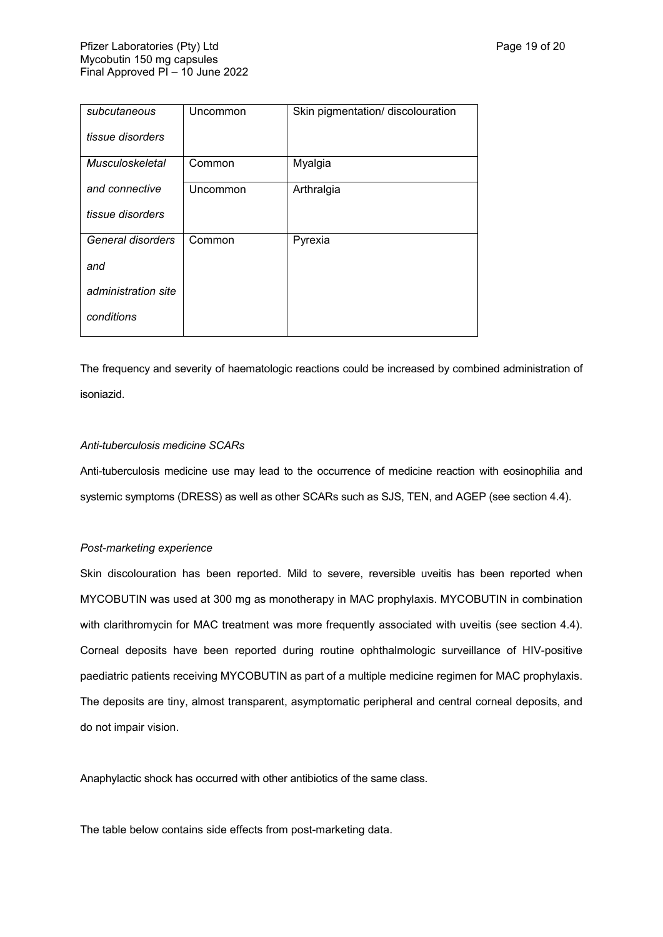| subcutaneous           | Uncommon | Skin pigmentation/ discolouration |
|------------------------|----------|-----------------------------------|
| tissue disorders       |          |                                   |
| <b>Musculoskeletal</b> | Common   | Myalgia                           |
| and connective         | Uncommon | Arthralgia                        |
| tissue disorders       |          |                                   |
| General disorders      | Common   | Pyrexia                           |
| and                    |          |                                   |
| administration site    |          |                                   |
| conditions             |          |                                   |

The frequency and severity of haematologic reactions could be increased by combined administration of isoniazid.

#### *Anti-tuberculosis medicine SCARs*

Anti-tuberculosis medicine use may lead to the occurrence of medicine reaction with eosinophilia and systemic symptoms (DRESS) as well as other SCARs such as SJS, TEN, and AGEP (see section 4.4).

#### *Post-marketing experience*

Skin discolouration has been reported. Mild to severe, reversible uveitis has been reported when MYCOBUTIN was used at 300 mg as monotherapy in MAC prophylaxis. MYCOBUTIN in combination with clarithromycin for MAC treatment was more frequently associated with uveitis (see section 4.4). Corneal deposits have been reported during routine ophthalmologic surveillance of HIV-positive paediatric patients receiving MYCOBUTIN as part of a multiple medicine regimen for MAC prophylaxis. The deposits are tiny, almost transparent, asymptomatic peripheral and central corneal deposits, and do not impair vision.

Anaphylactic shock has occurred with other antibiotics of the same class.

The table below contains side effects from post-marketing data.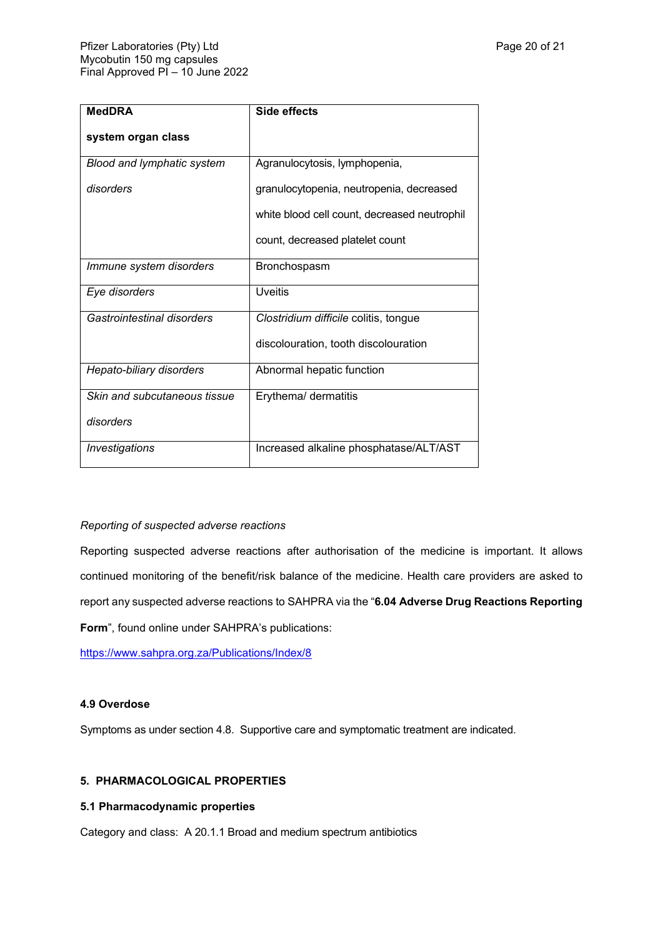| <b>MedDRA</b>                | Side effects                                 |
|------------------------------|----------------------------------------------|
| system organ class           |                                              |
| Blood and lymphatic system   | Agranulocytosis, lymphopenia,                |
| disorders                    | granulocytopenia, neutropenia, decreased     |
|                              | white blood cell count, decreased neutrophil |
|                              | count, decreased platelet count              |
| Immune system disorders      | Bronchospasm                                 |
| Eye disorders                | <b>Uveitis</b>                               |
| Gastrointestinal disorders   | Clostridium difficile colitis, tongue        |
|                              | discolouration, tooth discolouration         |
| Hepato-biliary disorders     | Abnormal hepatic function                    |
| Skin and subcutaneous tissue | Erythema/ dermatitis                         |
| disorders                    |                                              |
| Investigations               | Increased alkaline phosphatase/ALT/AST       |

#### *Reporting of suspected adverse reactions*

Reporting suspected adverse reactions after authorisation of the medicine is important. It allows continued monitoring of the benefit/risk balance of the medicine. Health care providers are asked to report any suspected adverse reactions to SAHPRA via the "**6.04 Adverse Drug Reactions Reporting Form**", found online under SAHPRA's publications:

<https://www.sahpra.org.za/Publications/Index/8>

#### **4.9 Overdose**

Symptoms as under section 4.8. Supportive care and symptomatic treatment are indicated.

### **5. PHARMACOLOGICAL PROPERTIES**

#### **5.1 Pharmacodynamic properties**

Category and class:A 20.1.1 Broad and medium spectrum antibiotics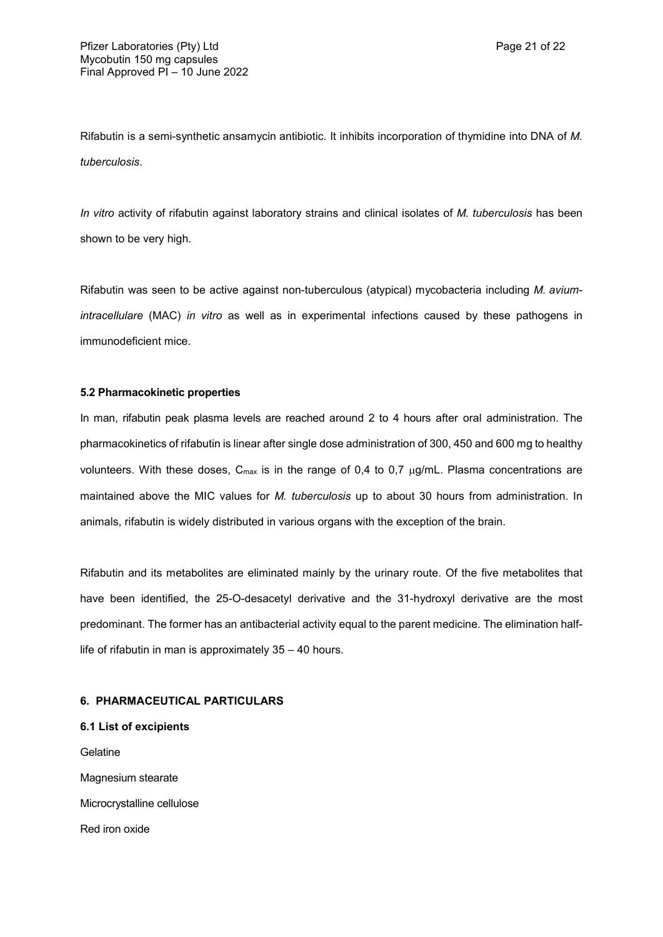Rifabutin is a semi-synthetic ansamycin antibiotic. It inhibits incorporation of thymidine into DNA of *M. tuberculosis*.

*In vitro* activity of rifabutin against laboratory strains and clinical isolates of *M. tuberculosis* has been shown to be very high.

Rifabutin was seen to be active against non-tuberculous (atypical) mycobacteria including *M. aviumintracellulare* (MAC) *in vitro* as well as in experimental infections caused by these pathogens in immunodeficient mice.

#### **5.2 Pharmacokinetic properties**

In man, rifabutin peak plasma levels are reached around 2 to 4 hours after oral administration. The pharmacokinetics of rifabutin is linear after single dose administration of 300, 450 and 600 mg to healthy volunteers. With these doses,  $C_{max}$  is in the range of 0,4 to 0,7  $\mu$ g/mL. Plasma concentrations are maintained above the MIC values for *M. tuberculosis* up to about 30 hours from administration. In animals, rifabutin is widely distributed in various organs with the exception of the brain.

Rifabutin and its metabolites are eliminated mainly by the urinary route. Of the five metabolites that have been identified, the 25-O-desacetyl derivative and the 31-hydroxyl derivative are the most predominant. The former has an antibacterial activity equal to the parent medicine. The elimination halflife of rifabutin in man is approximately 35 – 40 hours.

### **6. PHARMACEUTICAL PARTICULARS**

**6.1 List of excipients** Gelatine Magnesium stearate Microcrystalline cellulose Red iron oxide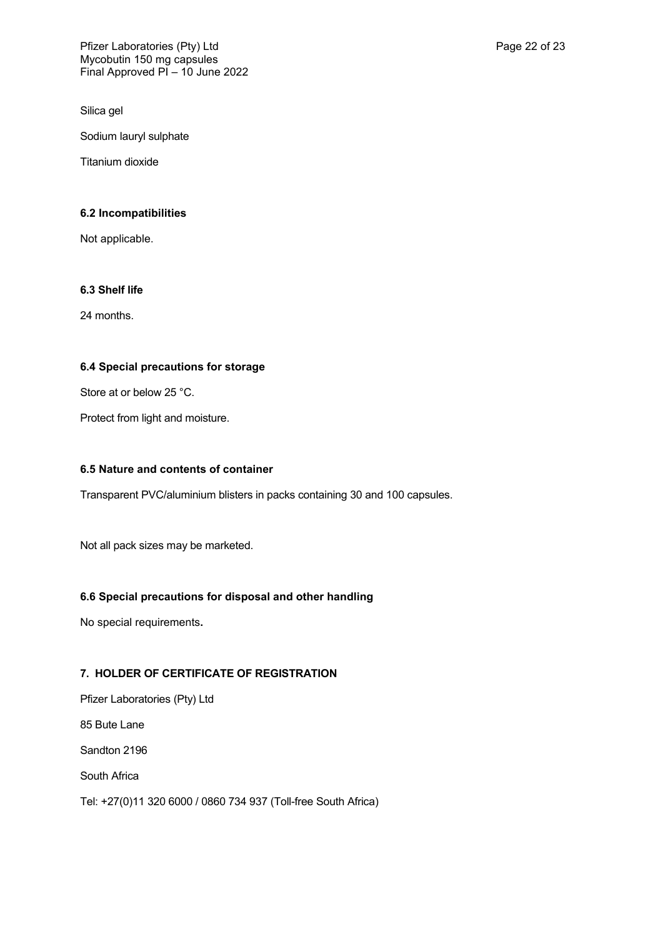Silica gel

Sodium lauryl sulphate

Titanium dioxide

### **6.2 Incompatibilities**

Not applicable.

# **6.3 Shelf life**

24 months.

### **6.4 Special precautions for storage**

Store at or below 25 °C.

Protect from light and moisture.

### **6.5 Nature and contents of container**

Transparent PVC/aluminium blisters in packs containing 30 and 100 capsules.

Not all pack sizes may be marketed.

### **6.6 Special precautions for disposal and other handling**

No special requirements**.**

### **7. HOLDER OF CERTIFICATE OF REGISTRATION**

Pfizer Laboratories (Pty) Ltd 85 Bute Lane Sandton 2196 South Africa